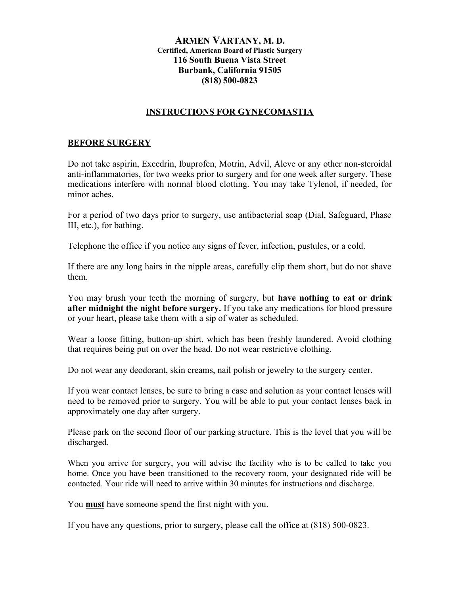## **ARMEN VARTANY, M. D. Certified, American Board of Plastic Surgery 116 South Buena Vista Street Burbank, California 91505 (818) 500-0823**

## **INSTRUCTIONS FOR GYNECOMASTIA**

## **BEFORE SURGERY**

Do not take aspirin, Excedrin, Ibuprofen, Motrin, Advil, Aleve or any other non-steroidal anti-inflammatories, for two weeks prior to surgery and for one week after surgery. These medications interfere with normal blood clotting. You may take Tylenol, if needed, for minor aches.

For a period of two days prior to surgery, use antibacterial soap (Dial, Safeguard, Phase III, etc.), for bathing.

Telephone the office if you notice any signs of fever, infection, pustules, or a cold.

If there are any long hairs in the nipple areas, carefully clip them short, but do not shave them.

You may brush your teeth the morning of surgery, but **have nothing to eat or drink after midnight the night before surgery.** If you take any medications for blood pressure or your heart, please take them with a sip of water as scheduled.

Wear a loose fitting, button-up shirt, which has been freshly laundered. Avoid clothing that requires being put on over the head. Do not wear restrictive clothing.

Do not wear any deodorant, skin creams, nail polish or jewelry to the surgery center.

If you wear contact lenses, be sure to bring a case and solution as your contact lenses will need to be removed prior to surgery. You will be able to put your contact lenses back in approximately one day after surgery.

Please park on the second floor of our parking structure. This is the level that you will be discharged.

When you arrive for surgery, you will advise the facility who is to be called to take you home. Once you have been transitioned to the recovery room, your designated ride will be contacted. Your ride will need to arrive within 30 minutes for instructions and discharge.

You **must** have someone spend the first night with you.

If you have any questions, prior to surgery, please call the office at (818) 500-0823.